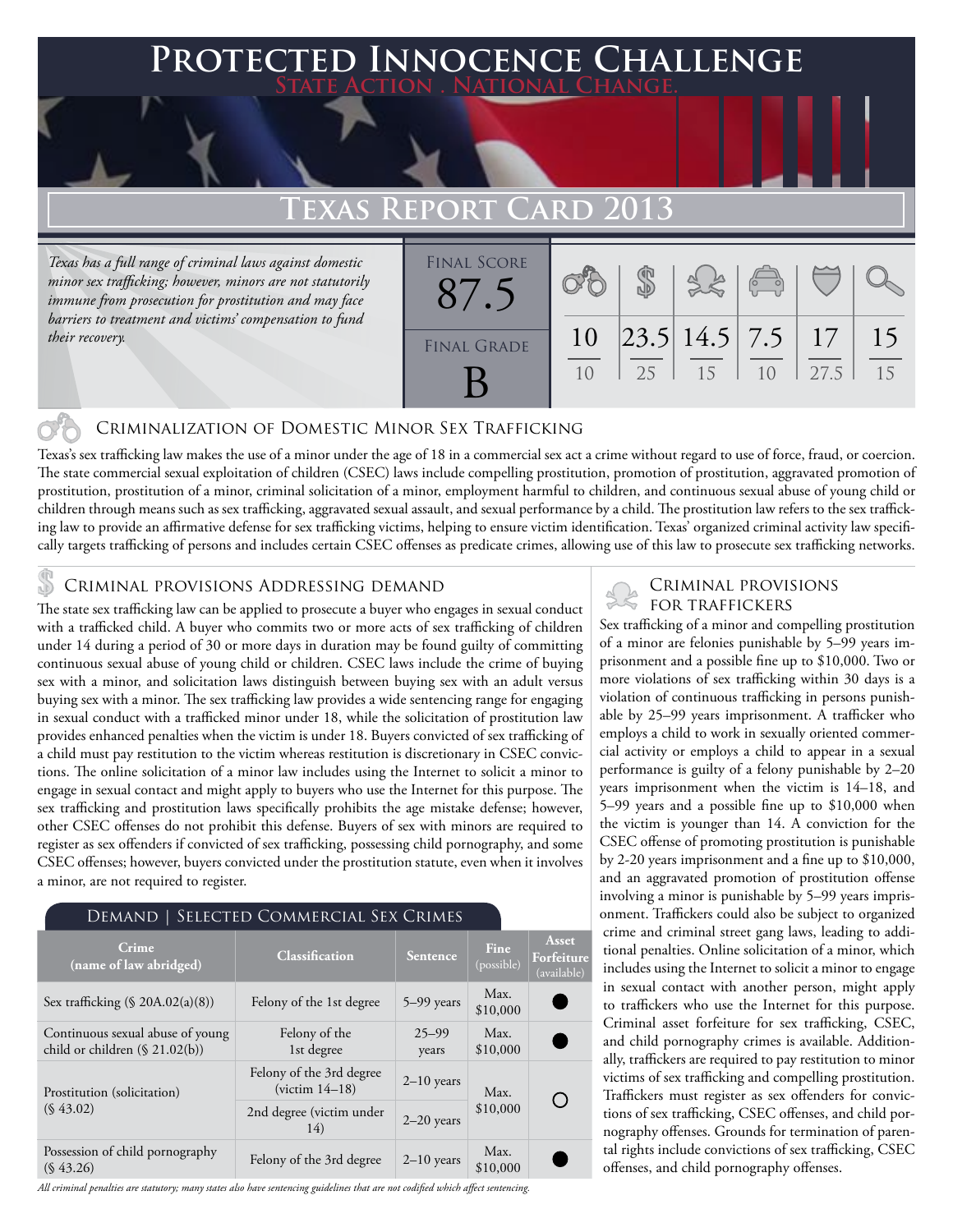# **PTED INNOCENCE CHALLENGE State Action . National Change.**

# **Texas Report Card 2013**

*Texas has a full range of criminal laws against domestic minor sex trafficking; however, minors are not statutorily immune from prosecution for prostitution and may face barriers to treatment and victims' compensation to fund their recovery.*

|                    | - <del>- - - - - - - - - - - - - - - - - -</del> |    |                                                     |                                                |            |          |
|--------------------|--------------------------------------------------|----|-----------------------------------------------------|------------------------------------------------|------------|----------|
| <b>FINAL SCORE</b> |                                                  |    |                                                     | $\begin{pmatrix} 0 & 0 \\ 0 & 0 \end{pmatrix}$ |            |          |
| <b>FINAL GRADE</b> | 10<br>10                                         | 25 | $\left  23.5 \right  14.5 \left  7.5 \right $<br>15 | 10                                             | 17<br>27.5 | 15<br>15 |

## Criminalization of Domestic Minor Sex Trafficking

Texas's sex trafficking law makes the use of a minor under the age of 18 in a commercial sex act a crime without regard to use of force, fraud, or coercion. The state commercial sexual exploitation of children (CSEC) laws include compelling prostitution, promotion of prostitution, aggravated promotion of prostitution, prostitution of a minor, criminal solicitation of a minor, employment harmful to children, and continuous sexual abuse of young child or children through means such as sex trafficking, aggravated sexual assault, and sexual performance by a child. The prostitution law refers to the sex trafficking law to provide an affirmative defense for sex trafficking victims, helping to ensure victim identification. Texas' organized criminal activity law specifically targets trafficking of persons and includes certain CSEC offenses as predicate crimes, allowing use of this law to prosecute sex trafficking networks.

### Criminal provisions Addressing demand

The state sex trafficking law can be applied to prosecute a buyer who engages in sexual conduct with a trafficked child. A buyer who commits two or more acts of sex trafficking of children under 14 during a period of 30 or more days in duration may be found guilty of committing continuous sexual abuse of young child or children. CSEC laws include the crime of buying sex with a minor, and solicitation laws distinguish between buying sex with an adult versus buying sex with a minor. The sex trafficking law provides a wide sentencing range for engaging in sexual conduct with a trafficked minor under 18, while the solicitation of prostitution law provides enhanced penalties when the victim is under 18. Buyers convicted of sex trafficking of a child must pay restitution to the victim whereas restitution is discretionary in CSEC convictions. The online solicitation of a minor law includes using the Internet to solicit a minor to engage in sexual contact and might apply to buyers who use the Internet for this purpose. The sex trafficking and prostitution laws specifically prohibits the age mistake defense; however, other CSEC offenses do not prohibit this defense. Buyers of sex with minors are required to register as sex offenders if convicted of sex trafficking, possessing child pornography, and some CSEC offenses; however, buyers convicted under the prostitution statute, even when it involves a minor, are not required to register.

#### Demand | Selected Commercial Sex Crimes

| Crime<br>(name of law abridged)                                       | <b>Classification</b>                        | Sentence           | Fine<br>(possible) | Asset<br>Forfeiture<br>(available)              |
|-----------------------------------------------------------------------|----------------------------------------------|--------------------|--------------------|-------------------------------------------------|
| Sex trafficking $(\S$ 20A.02(a)(8))                                   | Felony of the 1st degree                     | $5-99$ years       | Max.<br>\$10,000   |                                                 |
| Continuous sexual abuse of young<br>child or children $(\S 21.02(b))$ | Felony of the<br>1st degree                  | $25 - 99$<br>years | Max.<br>\$10,000   |                                                 |
| Prostitution (solicitation)                                           | Felony of the 3rd degree<br>$(victim 14-18)$ | $2-10$ years       | Max.               | $\left( \begin{array}{c} 1 \end{array} \right)$ |
| $(S\,43.02)$                                                          | 2nd degree (victim under<br>14)              | $2-20$ years       | \$10,000           |                                                 |
| Possession of child pornography<br>$(S\,43.26)$                       | Felony of the 3rd degree                     | $2-10$ years       | Max.<br>\$10,000   |                                                 |

*All criminal penalties are statutory; many states also have sentencing guidelines that are not codified which affect sentencing.* 

### Criminal provisions for traffickers

Sex trafficking of a minor and compelling prostitution of a minor are felonies punishable by 5–99 years imprisonment and a possible fine up to \$10,000. Two or more violations of sex trafficking within 30 days is a violation of continuous trafficking in persons punishable by 25–99 years imprisonment. A trafficker who employs a child to work in sexually oriented commercial activity or employs a child to appear in a sexual performance is guilty of a felony punishable by 2–20 years imprisonment when the victim is 14–18, and 5–99 years and a possible fine up to \$10,000 when the victim is younger than 14. A conviction for the CSEC offense of promoting prostitution is punishable by 2-20 years imprisonment and a fine up to \$10,000, and an aggravated promotion of prostitution offense involving a minor is punishable by 5–99 years imprisonment. Traffickers could also be subject to organized crime and criminal street gang laws, leading to additional penalties. Online solicitation of a minor, which includes using the Internet to solicit a minor to engage in sexual contact with another person, might apply to traffickers who use the Internet for this purpose. Criminal asset forfeiture for sex trafficking, CSEC, and child pornography crimes is available. Additionally, traffickers are required to pay restitution to minor victims of sex trafficking and compelling prostitution. Traffickers must register as sex offenders for convictions of sex trafficking, CSEC offenses, and child pornography offenses. Grounds for termination of parental rights include convictions of sex trafficking, CSEC offenses, and child pornography offenses.